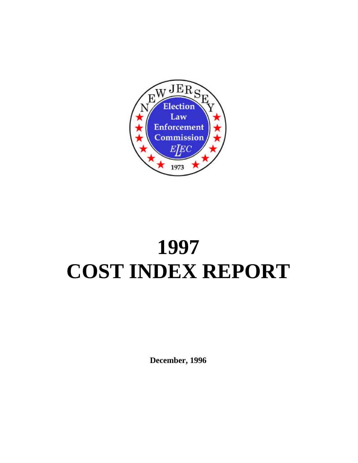

# **1997 COST INDEX REPORT**

**December, 1996**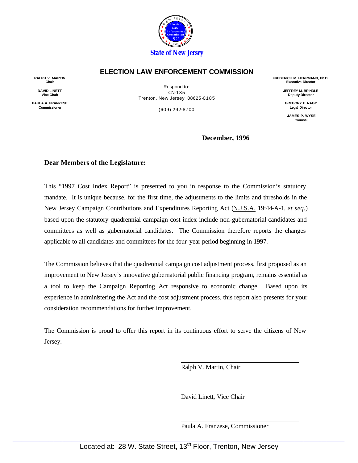

#### **ELECTION LAW ENFORCEMENT COMMISSION**

**RALPH V. MARTIN Chair**

**DAVID LINETT Vice Chair**

**PAULA A. FRANZESE Commissioner**

Respond to: CN-185 Trenton, New Jersey 08625-0185

(609) 292-8700

**FREDERICK M. HERRMANN, Ph.D. Executive Director**

> **JEFFREY M. BRINDLE Deputy Director**

**GREGORY E. NAGY Legal Director**

**JAMES P. WYSE Counsel**

**December, 1996**

#### **Dear Members of the Legislature:**

This "1997 Cost Index Report" is presented to you in response to the Commission's statutory mandate. It is unique because, for the first time, the adjustments to the limits and thresholds in the New Jersey Campaign Contributions and Expenditures Reporting Act (N.J.S.A. 19:44-A-1, *et seq.*) based upon the statutory quadrennial campaign cost index include non-gubernatorial candidates and committees as well as gubernatorial candidates. The Commission therefore reports the changes applicable to all candidates and committees for the four-year period beginning in 1997.

The Commission believes that the quadrennial campaign cost adjustment process, first proposed as an improvement to New Jersey's innovative gubernatorial public financing program, remains essential as a tool to keep the Campaign Reporting Act responsive to economic change. Based upon its experience in administering the Act and the cost adjustment process, this report also presents for your consideration recommendations for further improvement.

The Commission is proud to offer this report in its continuous effort to serve the citizens of New Jersey.

Ralph V. Martin, Chair

David Linett, Vice Chair

Paula A. Franzese, Commissioner

\_\_\_\_\_\_\_\_\_\_\_\_\_\_\_\_\_\_\_\_\_\_\_\_\_\_\_\_\_\_\_\_\_\_\_\_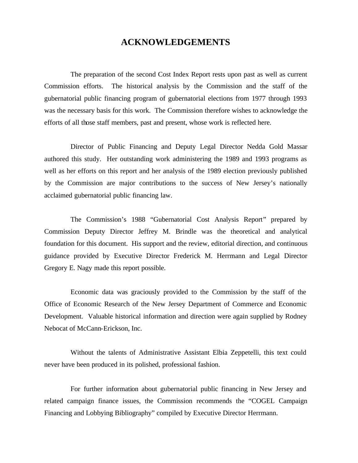#### **ACKNOWLEDGEMENTS**

The preparation of the second Cost Index Report rests upon past as well as current Commission efforts. The historical analysis by the Commission and the staff of the gubernatorial public financing program of gubernatorial elections from 1977 through 1993 was the necessary basis for this work. The Commission therefore wishes to acknowledge the efforts of all those staff members, past and present, whose work is reflected here.

Director of Public Financing and Deputy Legal Director Nedda Gold Massar authored this study. Her outstanding work administering the 1989 and 1993 programs as well as her efforts on this report and her analysis of the 1989 election previously published by the Commission are major contributions to the success of New Jersey's nationally acclaimed gubernatorial public financing law.

The Commission's 1988 "Gubernatorial Cost Analysis Report" prepared by Commission Deputy Director Jeffrey M. Brindle was the theoretical and analytical foundation for this document. His support and the review, editorial direction, and continuous guidance provided by Executive Director Frederick M. Herrmann and Legal Director Gregory E. Nagy made this report possible.

Economic data was graciously provided to the Commission by the staff of the Office of Economic Research of the New Jersey Department of Commerce and Economic Development. Valuable historical information and direction were again supplied by Rodney Nebocat of McCann-Erickson, Inc.

Without the talents of Administrative Assistant Elbia Zeppetelli, this text could never have been produced in its polished, professional fashion.

For further information about gubernatorial public financing in New Jersey and related campaign finance issues, the Commission recommends the "COGEL Campaign Financing and Lobbying Bibliography" compiled by Executive Director Herrmann.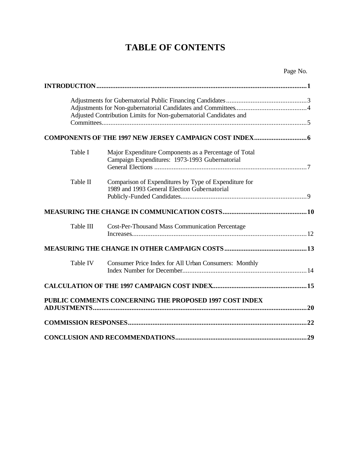## **TABLE OF CONTENTS**

|           | Adjusted Contribution Limits for Non-gubernatorial Candidates and                                       |  |
|-----------|---------------------------------------------------------------------------------------------------------|--|
|           |                                                                                                         |  |
| Table I   | Major Expenditure Components as a Percentage of Total<br>Campaign Expenditures: 1973-1993 Gubernatorial |  |
| Table II  | Comparison of Expenditures by Type of Expenditure for<br>1989 and 1993 General Election Gubernatorial   |  |
|           |                                                                                                         |  |
| Table III | <b>Cost-Per-Thousand Mass Communication Percentage</b>                                                  |  |
|           |                                                                                                         |  |
| Table IV  | Consumer Price Index for All Urban Consumers: Monthly                                                   |  |
|           |                                                                                                         |  |
|           | PUBLIC COMMENTS CONCERNING THE PROPOSED 1997 COST INDEX                                                 |  |
|           |                                                                                                         |  |
|           |                                                                                                         |  |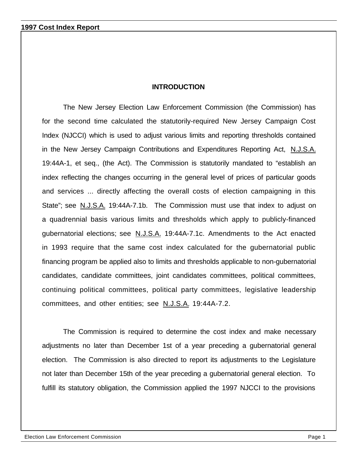#### **INTRODUCTION**

The New Jersey Election Law Enforcement Commission (the Commission) has for the second time calculated the statutorily-required New Jersey Campaign Cost Index (NJCCI) which is used to adjust various limits and reporting thresholds contained in the New Jersey Campaign Contributions and Expenditures Reporting Act, N.J.S.A. 19:44A-1, et seq., (the Act). The Commission is statutorily mandated to "establish an index reflecting the changes occurring in the general level of prices of particular goods and services ... directly affecting the overall costs of election campaigning in this State"; see N.J.S.A. 19:44A-7.1b. The Commission must use that index to adjust on a quadrennial basis various limits and thresholds which apply to publicly-financed gubernatorial elections; see N.J.S.A. 19:44A-7.1c. Amendments to the Act enacted in 1993 require that the same cost index calculated for the gubernatorial public financing program be applied also to limits and thresholds applicable to non-gubernatorial candidates, candidate committees, joint candidates committees, political committees, continuing political committees, political party committees, legislative leadership committees, and other entities; see N.J.S.A. 19:44A-7.2.

The Commission is required to determine the cost index and make necessary adjustments no later than December 1st of a year preceding a gubernatorial general election. The Commission is also directed to report its adjustments to the Legislature not later than December 15th of the year preceding a gubernatorial general election. To fulfill its statutory obligation, the Commission applied the 1997 NJCCI to the provisions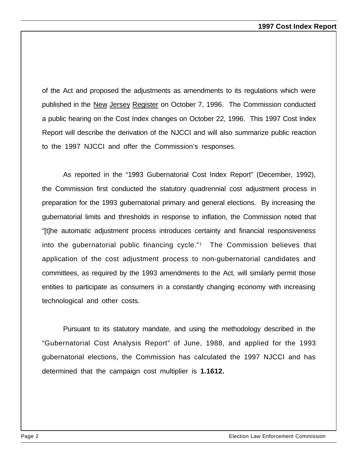of the Act and proposed the adjustments as amendments to its regulations which were published in the New Jersey Register on October 7, 1996. The Commission conducted a public hearing on the Cost Index changes on October 22, 1996. This 1997 Cost Index Report will describe the derivation of the NJCCI and will also summarize public reaction to the 1997 NJCCI and offer the Commission's responses.

As reported in the "1993 Gubernatorial Cost Index Report" (December, 1992), the Commission first conducted the statutory quadrennial cost adjustment process in preparation for the 1993 gubernatorial primary and general elections. By increasing the gubernatorial limits and thresholds in response to inflation, the Commission noted that "[t]he automatic adjustment process introduces certainty and financial responsiveness into the gubernatorial public financing cycle."<sup>1</sup> The Commission believes that application of the cost adjustment process to non-gubernatorial candidates and committees, as required by the 1993 amendments to the Act, will similarly permit those entities to participate as consumers in a constantly changing economy with increasing technological and other costs.

Pursuant to its statutory mandate, and using the methodology described in the "Gubernatorial Cost Analysis Report" of June, 1988, and applied for the 1993 gubernatorial elections, the Commission has calculated the 1997 NJCCI and has determined that the campaign cost multiplier is **1.1612.**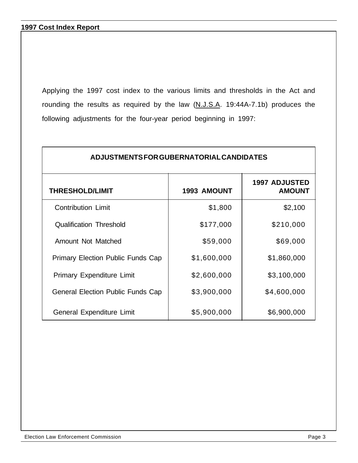Applying the 1997 cost index to the various limits and thresholds in the Act and rounding the results as required by the law (N.J.S.A. 19:44A-7.1b) produces the following adjustments for the four-year period beginning in 1997:

| ADJUSTMENTS FOR GUBERNATORIAL CANDIDATES |                    |                                       |  |  |
|------------------------------------------|--------------------|---------------------------------------|--|--|
| <b>THRESHOLD/LIMIT</b>                   | <b>1993 AMOUNT</b> | <b>1997 ADJUSTED</b><br><b>AMOUNT</b> |  |  |
| <b>Contribution Limit</b>                | \$1,800            | \$2,100                               |  |  |
| <b>Qualification Threshold</b>           | \$177,000          | \$210,000                             |  |  |
| Amount Not Matched                       | \$59,000           | \$69,000                              |  |  |
| <b>Primary Election Public Funds Cap</b> | \$1,600,000        | \$1,860,000                           |  |  |
| <b>Primary Expenditure Limit</b>         | \$2,600,000        | \$3,100,000                           |  |  |
| <b>General Election Public Funds Cap</b> | \$3,900,000        | \$4,600,000                           |  |  |
| General Expenditure Limit                | \$5,900,000        | \$6,900,000                           |  |  |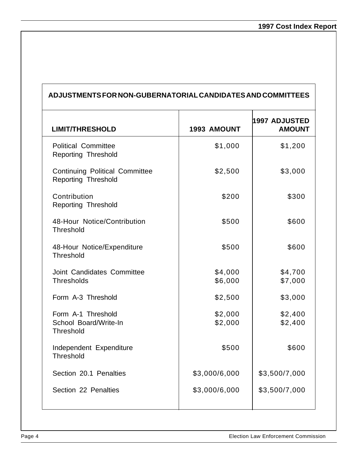| ADJUSTMENTS FOR NON-GUBERNATORIAL CANDIDATES AND COMMITTEES  |                    |                                |  |
|--------------------------------------------------------------|--------------------|--------------------------------|--|
| <b>LIMIT/THRESHOLD</b>                                       | <b>1993 AMOUNT</b> | 1997 ADJUSTED<br><b>AMOUNT</b> |  |
| <b>Political Committee</b><br>Reporting Threshold            | \$1,000            | \$1,200                        |  |
| <b>Continuing Political Committee</b><br>Reporting Threshold | \$2,500            | \$3,000                        |  |
| Contribution<br>Reporting Threshold                          | \$200              | \$300                          |  |
| 48-Hour Notice/Contribution<br><b>Threshold</b>              | \$500              | \$600                          |  |
| 48-Hour Notice/Expenditure<br>Threshold                      | \$500              | \$600                          |  |
| Joint Candidates Committee<br><b>Thresholds</b>              | \$4,000<br>\$6,000 | \$4,700<br>\$7,000             |  |
| Form A-3 Threshold                                           | \$2,500            | \$3,000                        |  |
| Form A-1 Threshold<br>School Board/Write-In<br>Threshold     | \$2,000<br>\$2,000 | \$2,400<br>\$2,400             |  |
| Independent Expenditure<br>Threshold                         | \$500              | \$600                          |  |
| Section 20.1 Penalties                                       | \$3,000/6,000      | \$3,500/7,000                  |  |
| Section 22 Penalties                                         | \$3,000/6,000      | \$3,500/7,000                  |  |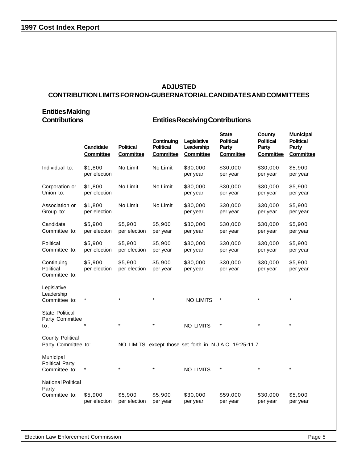#### **1997 Cost Index Report**

#### **ADJUSTED CONTRIBUTION LIMITS FOR NON-GUBERNATORIAL CANDIDATES AND COMMITTEES**

## **Entities Making**

#### **Contributions Entities Receiving Contributions**

|                                                      | <b>Candidate</b><br><b>Committee</b> | <b>Political</b><br><b>Committee</b> | Continuing<br><b>Political</b><br><b>Committee</b> | Legislative<br>Leadership<br><b>Committee</b> | <b>State</b><br><b>Political</b><br>Party<br><b>Committee</b> | County<br><b>Political</b><br>Party<br><b>Committee</b> | <b>Municipal</b><br><b>Political</b><br>Party<br><b>Committee</b> |
|------------------------------------------------------|--------------------------------------|--------------------------------------|----------------------------------------------------|-----------------------------------------------|---------------------------------------------------------------|---------------------------------------------------------|-------------------------------------------------------------------|
| Individual to:                                       | \$1,800<br>per election              | No Limit                             | No Limit                                           | \$30,000<br>per year                          | \$30,000<br>per year                                          | \$30,000<br>per year                                    | \$5,900<br>per year                                               |
| Corporation or<br>Union to:                          | \$1,800<br>per election              | No Limit                             | No Limit                                           | \$30,000<br>per year                          | \$30,000<br>per year                                          | \$30,000<br>per year                                    | \$5,900<br>per year                                               |
| Association or<br>Group to:                          | \$1,800<br>per election              | No Limit                             | No Limit                                           | \$30,000<br>per year                          | \$30,000<br>per year                                          | \$30,000<br>per year                                    | \$5,900<br>per year                                               |
| Candidate<br>Committee to:                           | \$5,900<br>per election              | \$5,900<br>per election              | \$5,900<br>per year                                | \$30,000<br>per year                          | \$30,000<br>per year                                          | \$30,000<br>per year                                    | \$5,900<br>per year                                               |
| Political<br>Committee to:                           | \$5,900<br>per election              | \$5,900<br>per election              | \$5,900<br>per year                                | \$30,000<br>per year                          | \$30,000<br>per year                                          | \$30,000<br>per year                                    | \$5,900<br>per year                                               |
| Continuing<br>Political<br>Committee to:             | \$5,900<br>per election              | \$5,900<br>per election              | \$5,900<br>per year                                | \$30,000<br>per year                          | \$30,000<br>per year                                          | \$30,000<br>per year                                    | \$5,900<br>per year                                               |
| Legislative<br>Leadership<br>Committee to:           |                                      |                                      |                                                    | <b>NO LIMITS</b>                              | $\star$                                                       |                                                         |                                                                   |
| <b>State Political</b><br>Party Committee<br>to:     |                                      | $\star$                              |                                                    | NO LIMITS                                     | $\star$                                                       |                                                         |                                                                   |
| County Political<br>Party Committee to:              |                                      |                                      |                                                    |                                               | NO LIMITS, except those set forth in N.J.A.C. 19:25-11.7.     |                                                         |                                                                   |
| Municipal<br><b>Political Party</b><br>Committee to: | $\star$                              |                                      |                                                    | NO LIMITS                                     | $\star$                                                       |                                                         |                                                                   |
| <b>National Political</b><br>Party<br>Committee to:  | \$5,900<br>per election              | \$5,900<br>per election              | \$5,900<br>per year                                | \$30,000<br>per year                          | \$59,000<br>per year                                          | \$30,000<br>per year                                    | \$5,900<br>per year                                               |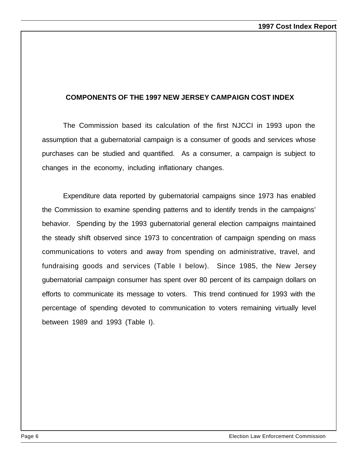#### **COMPONENTS OF THE 1997 NEW JERSEY CAMPAIGN COST INDEX**

The Commission based its calculation of the first NJCCI in 1993 upon the assumption that a gubernatorial campaign is a consumer of goods and services whose purchases can be studied and quantified. As a consumer, a campaign is subject to changes in the economy, including inflationary changes.

Expenditure data reported by gubernatorial campaigns since 1973 has enabled the Commission to examine spending patterns and to identify trends in the campaigns' behavior. Spending by the 1993 gubernatorial general election campaigns maintained the steady shift observed since 1973 to concentration of campaign spending on mass communications to voters and away from spending on administrative, travel, and fundraising goods and services (Table I below). Since 1985, the New Jersey gubernatorial campaign consumer has spent over 80 percent of its campaign dollars on efforts to communicate its message to voters. This trend continued for 1993 with the percentage of spending devoted to communication to voters remaining virtually level between 1989 and 1993 (Table I).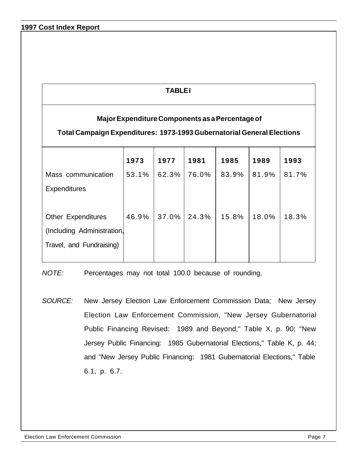#### **TABLE I**

#### **Major Expenditure Components as a Percentage of**

#### **Total Campaign Expenditures: 1973-1993 Gubernatorial General Elections**

|                            | 1973  | 1977  | 1981  | 1985  | 1989  | 1993  |
|----------------------------|-------|-------|-------|-------|-------|-------|
| Mass communication         | 53.1% | 62.3% | 76.0% | 83.9% | 81.9% | 81.7% |
| <b>Expenditures</b>        |       |       |       |       |       |       |
|                            |       |       |       |       |       |       |
| <b>Other Expenditures</b>  | 46.9% | 37.0% | 24.3% | 15.8% | 18.0% | 18.3% |
| (Including Administration, |       |       |       |       |       |       |
| Travel, and Fundraising)   |       |       |       |       |       |       |
|                            |       |       |       |       |       |       |

*NOTE:* Percentages may not total 100.0 because of rounding.

*SOURCE:* New Jersey Election Law Enforcement Commission Data; New Jersey Election Law Enforcement Commission, "New Jersey Gubernatorial Public Financing Revised: 1989 and Beyond," Table X, p. 90; "New Jersey Public Financing: 1985 Gubernatorial Elections," Table K, p. 44; and "New Jersey Public Financing: 1981 Gubernatorial Elections," Table 6.1, p. 6.7.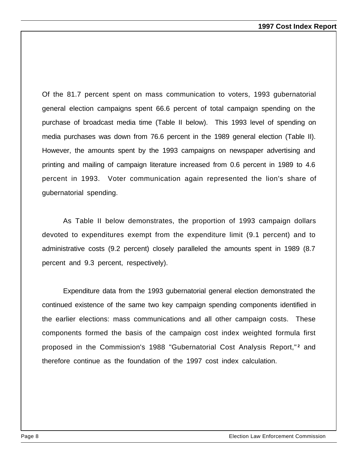Of the 81.7 percent spent on mass communication to voters, 1993 gubernatorial general election campaigns spent 66.6 percent of total campaign spending on the purchase of broadcast media time (Table II below). This 1993 level of spending on media purchases was down from 76.6 percent in the 1989 general election (Table II). However, the amounts spent by the 1993 campaigns on newspaper advertising and printing and mailing of campaign literature increased from 0.6 percent in 1989 to 4.6 percent in 1993. Voter communication again represented the lion's share of gubernatorial spending.

As Table II below demonstrates, the proportion of 1993 campaign dollars devoted to expenditures exempt from the expenditure limit (9.1 percent) and to administrative costs (9.2 percent) closely paralleled the amounts spent in 1989 (8.7 percent and 9.3 percent, respectively).

Expenditure data from the 1993 gubernatorial general election demonstrated the continued existence of the same two key campaign spending components identified in the earlier elections: mass communications and all other campaign costs. These components formed the basis of the campaign cost index weighted formula first proposed in the Commission's 1988 "Gubernatorial Cost Analysis Report,"<sup>2</sup> and therefore continue as the foundation of the 1997 cost index calculation.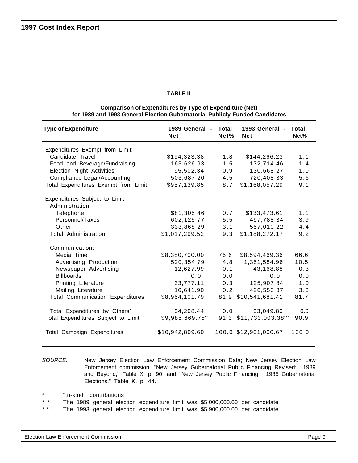#### **1997 Cost Index Report**

#### **TABLE II**

#### **Comparison of Expenditures by Type of Expenditure (Net) for 1989 and 1993 General Election Gubernatorial Publicly-Funded Candidates**

| <b>Type of Expenditure</b>                | 1989 General -<br><b>Net</b> | Total<br>Net% | 1993 General -<br><b>Net</b>          | Total<br>Net% |
|-------------------------------------------|------------------------------|---------------|---------------------------------------|---------------|
| Expenditures Exempt from Limit:           |                              |               |                                       |               |
| Candidate Travel                          | \$194,323.38                 | 1.8           | \$144,266.23                          | 1.1           |
| Food and Beverage/Fundraising             | 163,626.93                   | 1.5           | 172,714.46                            | 1.4           |
| Election Night Activities                 | 95,502.34                    | 0.9           | 130,668.27                            | 1.0           |
| Compliance-Legal/Accounting               | 503,687.20                   | 4.5           | 720,408.33                            | 5.6           |
| Total Expenditures Exempt from Limit:     | \$957,139.85                 | 8.7           | \$1,168,057.29                        | 9.1           |
| Expenditures Subject to Limit:            |                              |               |                                       |               |
| Administration:                           |                              |               |                                       |               |
| Telephone                                 | \$81,305.46                  | 0.7           | \$133,473.61                          | 1.1           |
| Personnel/Taxes                           | 602,125.77                   | 5.5           | 497,788.34                            | 3.9           |
| Other                                     | 333,868.29                   | 3.1           | 557,010.22                            | 4.4           |
| Total Administration                      | \$1,017,299.52               | 9.3           | \$1,188,272.17                        | 9.2           |
| Communication:                            |                              |               |                                       |               |
| Media Time                                | \$8,380,700.00               | 76.6          | \$8,594,469.36                        | 66.6          |
| Advertising Production                    | 520,354.79                   | 4.8           | 1,351,584.96                          | 10.5          |
| Newspaper Advertising                     | 12,627.99                    | 0.1           | 43,168.88                             | 0.3           |
| <b>Billboards</b>                         | 0.0                          | 0.0           | 0.0                                   | 0.0           |
| Printing Literature                       | 33,777.11                    | 0.3           | 125,907.84                            | 1.0           |
| Mailing Literature                        | 16,641.90                    | 0.2           | 426,550.37                            | 3.3           |
| <b>Total Communication Expenditures</b>   | \$8,964,101.79               | 81.9          | \$10,541,681.41                       | 81.7          |
| Total Expenditures by Others <sup>*</sup> | \$4,268.44                   | 0.0           | \$3,049.80                            | 0.0           |
| Total Expenditures Subject to Limit       | \$9,985,669.75**             |               | $91.3$ $\frac{1}{3}11,733,003.38$ *** | 90.9          |
| Total Campaign Expenditures               | \$10,942,809.60              |               | 100.0 \$12,901,060.67                 | 100.0         |

#### *SOURCE:* New Jersey Election Law Enforcement Commission Data; New Jersey Election Law Enforcement commission, "New Jersey Gubernatorial Public Financing Revised: 1989 and Beyond," Table X, p. 90; and "New Jersey Public Financing: 1985 Gubernatorial Elections," Table K, p. 44.

- "In-kind" contributions
- \* \* The 1989 general election expenditure limit was \$5,000,000.00 per candidate
- The 1993 general election expenditure limit was \$5,900,000.00 per candidate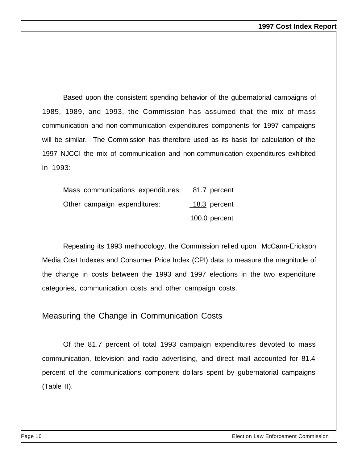Based upon the consistent spending behavior of the gubernatorial campaigns of 1985, 1989, and 1993, the Commission has assumed that the mix of mass communication and non-communication expenditures components for 1997 campaigns will be similar. The Commission has therefore used as its basis for calculation of the 1997 NJCCI the mix of communication and non-communication expenditures exhibited in 1993:

| Mass communications expenditures: 81.7 percent |               |
|------------------------------------------------|---------------|
| Other campaign expenditures:                   | 18.3 percent  |
|                                                | 100.0 percent |

Repeating its 1993 methodology, the Commission relied upon McCann-Erickson Media Cost Indexes and Consumer Price Index (CPI) data to measure the magnitude of the change in costs between the 1993 and 1997 elections in the two expenditure categories, communication costs and other campaign costs.

#### Measuring the Change in Communication Costs

Of the 81.7 percent of total 1993 campaign expenditures devoted to mass communication, television and radio advertising, and direct mail accounted for 81.4 percent of the communications component dollars spent by gubernatorial campaigns (Table II).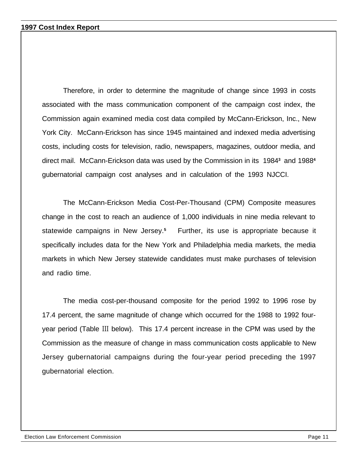Therefore, in order to determine the magnitude of change since 1993 in costs associated with the mass communication component of the campaign cost index, the Commission again examined media cost data compiled by McCann-Erickson, Inc., New York City. McCann-Erickson has since 1945 maintained and indexed media advertising costs, including costs for television, radio, newspapers, magazines, outdoor media, and direct mail. McCann-Erickson data was used by the Commission in its 1984**<sup>3</sup>** and 1988**<sup>4</sup>** gubernatorial campaign cost analyses and in calculation of the 1993 NJCCI.

The McCann-Erickson Media Cost-Per-Thousand (CPM) Composite measures change in the cost to reach an audience of 1,000 individuals in nine media relevant to statewide campaigns in New Jersey.**<sup>5</sup>** Further, its use is appropriate because it specifically includes data for the New York and Philadelphia media markets, the media markets in which New Jersey statewide candidates must make purchases of television and radio time.

The media cost-per-thousand composite for the period 1992 to 1996 rose by 17.4 percent, the same magnitude of change which occurred for the 1988 to 1992 fouryear period (Table III below). This 17.4 percent increase in the CPM was used by the Commission as the measure of change in mass communication costs applicable to New Jersey gubernatorial campaigns during the four-year period preceding the 1997 gubernatorial election.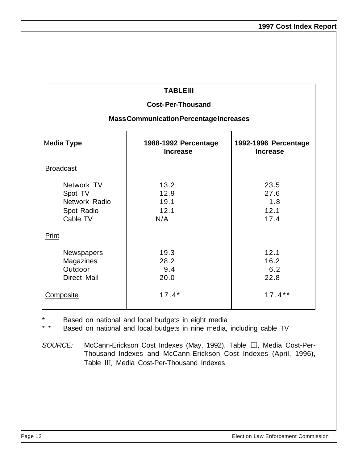#### **TABLE III**

#### **Cost- Per-Thousand**

#### **Mass Communication Percentage Increases**

| Media Type                                                       | 1988-1992 Percentage<br><b>Increase</b> | 1992-1996 Percentage<br><b>Increase</b> |
|------------------------------------------------------------------|-----------------------------------------|-----------------------------------------|
| <b>Broadcast</b>                                                 |                                         |                                         |
| Network TV<br>Spot TV<br>Network Radio<br>Spot Radio<br>Cable TV | 13.2<br>12.9<br>19.1<br>12.1<br>N/A     | 23.5<br>27.6<br>1.8<br>12.1<br>17.4     |
| Print                                                            |                                         |                                         |
| <b>Newspapers</b><br>Magazines<br>Outdoor<br>Direct Mail         | 19.3<br>28.2<br>9.4<br>20.0             | 12.1<br>16.2<br>6.2<br>22.8             |
| Composite                                                        | $17.4*$                                 | $17.4**$                                |

Based on national and local budgets in eight media

\* \* Based on national and local budgets in nine media, including cable TV

*SOURCE:* McCann-Erickson Cost Indexes (May, 1992), Table III, Media Cost-Per-Thousand Indexes and McCann-Erickson Cost Indexes (April, 1996), Table III, Media Cost-Per-Thousand Indexes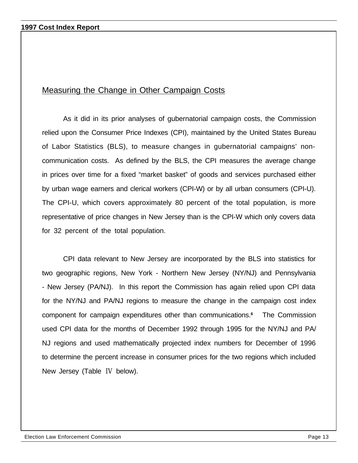#### Measuring the Change in Other Campaign Costs

As it did in its prior analyses of gubernatorial campaign costs, the Commission relied upon the Consumer Price Indexes (CPI), maintained by the United States Bureau of Labor Statistics (BLS), to measure changes in gubernatorial campaigns' noncommunication costs. As defined by the BLS, the CPI measures the average change in prices over time for a fixed "market basket" of goods and services purchased either by urban wage earners and clerical workers (CPI-W) or by all urban consumers (CPI-U). The CPI-U, which covers approximately 80 percent of the total population, is more representative of price changes in New Jersey than is the CPI-W which only covers data for 32 percent of the total population.

CPI data relevant to New Jersey are incorporated by the BLS into statistics for two geographic regions, New York - Northern New Jersey (NY/NJ) and Pennsylvania - New Jersey (PA/NJ). In this report the Commission has again relied upon CPI data for the NY/NJ and PA/NJ regions to measure the change in the campaign cost index component for campaign expenditures other than communications.**<sup>6</sup>** The Commission used CPI data for the months of December 1992 through 1995 for the NY/NJ and PA/ NJ regions and used mathematically projected index numbers for December of 1996 to determine the percent increase in consumer prices for the two regions which included New Jersey (Table IV below).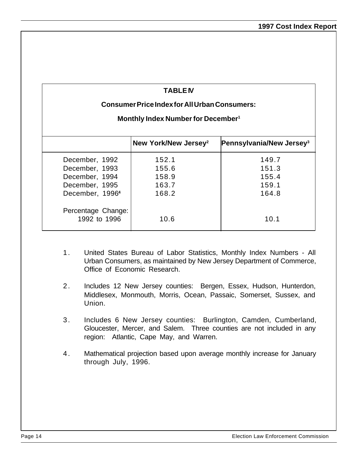#### **TABLEIV**

#### **Consumer Price Index for All Urban Consumers:**

#### **Monthly Index Number for December<sup>1</sup>**

|                                    | New York/New Jersey <sup>2</sup> | Pennsylvania/New Jersey <sup>3</sup> |
|------------------------------------|----------------------------------|--------------------------------------|
| December, 1992                     | 152.1                            | 149.7                                |
| December, 1993                     | 155.6                            | 151.3                                |
| December, 1994                     | 158.9                            | 155.4                                |
| December, 1995                     | 163.7                            | 159.1                                |
| December, 1996 <sup>4</sup>        | 168.2                            | 164.8                                |
| Percentage Change:<br>1992 to 1996 | 10.6                             | 10.1                                 |

- 1. United States Bureau of Labor Statistics, Monthly Index Numbers All Urban Consumers, as maintained by New Jersey Department of Commerce, Office of Economic Research.
- 2. Includes 12 New Jersey counties: Bergen, Essex, Hudson, Hunterdon, Middlesex, Monmouth, Morris, Ocean, Passaic, Somerset, Sussex, and Union.
- 3 . Includes 6 New Jersey counties: Burlington, Camden, Cumberland, Gloucester, Mercer, and Salem. Three counties are not included in any region: Atlantic, Cape May, and Warren.
- 4 . Mathematical projection based upon average monthly increase for January through July, 1996.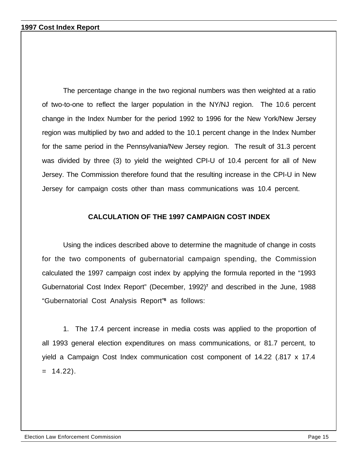The percentage change in the two regional numbers was then weighted at a ratio of two-to-one to reflect the larger population in the NY/NJ region. The 10.6 percent change in the Index Number for the period 1992 to 1996 for the New York/New Jersey region was multiplied by two and added to the 10.1 percent change in the Index Number for the same period in the Pennsylvania/New Jersey region. The result of 31.3 percent was divided by three (3) to yield the weighted CPI-U of 10.4 percent for all of New Jersey. The Commission therefore found that the resulting increase in the CPI-U in New Jersey for campaign costs other than mass communications was 10.4 percent.

#### **CALCULATION OF THE 1997 CAMPAIGN COST INDEX**

Using the indices described above to determine the magnitude of change in costs for the two components of gubernatorial campaign spending, the Commission calculated the 1997 campaign cost index by applying the formula reported in the "1993 Gubernatorial Cost Index Report" (December, 1992)**<sup>7</sup>** and described in the June, 1988 "Gubernatorial Cost Analysis Report"**<sup>8</sup>** as follows:

1. The 17.4 percent increase in media costs was applied to the proportion of all 1993 general election expenditures on mass communications, or 81.7 percent, to yield a Campaign Cost Index communication cost component of 14.22 (.817 x 17.4  $= 14.22$ ).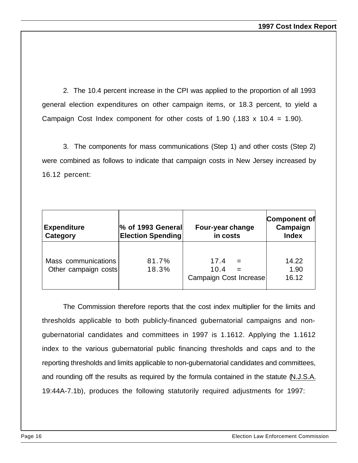2. The 10.4 percent increase in the CPI was applied to the proportion of all 1993 general election expenditures on other campaign items, or 18.3 percent, to yield a Campaign Cost Index component for other costs of 1.90 (.183  $\times$  10.4 = 1.90).

3. The components for mass communications (Step 1) and other costs (Step 2) were combined as follows to indicate that campaign costs in New Jersey increased by 16.12 percent:

| <b>Expenditure</b><br>Category              | % of 1993 General<br><b>Election Spending</b> | Four-year change<br>in costs           | <b>Component of</b><br>Campaign<br><b>Index</b> |
|---------------------------------------------|-----------------------------------------------|----------------------------------------|-------------------------------------------------|
| Mass communications<br>Other campaign costs | 81.7%<br>18.3%                                | 17.4<br>10.4<br>Campaign Cost Increase | 14.22<br>1.90<br>16.12                          |

The Commission therefore reports that the cost index multiplier for the limits and thresholds applicable to both publicly-financed gubernatorial campaigns and nongubernatorial candidates and committees in 1997 is 1.1612. Applying the 1.1612 index to the various gubernatorial public financing thresholds and caps and to the reporting thresholds and limits applicable to non-gubernatorial candidates and committees, and rounding off the results as required by the formula contained in the statute (N.J.S.A. 19:44A-7.1b), produces the following statutorily required adjustments for 1997: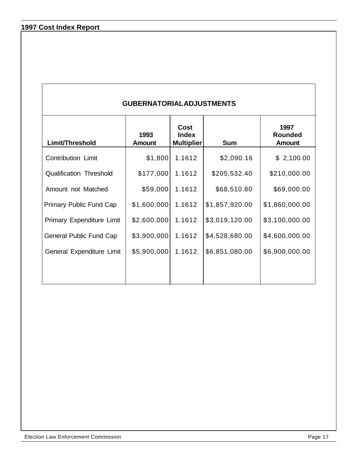**1997 Cost Index Report**

#### **GUBERNATORIAL ADJUSTMENTS**

| Limit/Threshold                | 1993<br><b>Amount</b> | Cost<br><b>Index</b><br><b>Multiplier</b> | <b>Sum</b>     | 1997<br><b>Rounded</b><br><b>Amount</b> |
|--------------------------------|-----------------------|-------------------------------------------|----------------|-----------------------------------------|
| <b>Contribution Limit</b>      | \$1,800               | 1.1612                                    | \$2,090.16     | \$2,100.00                              |
| <b>Qualification Threshold</b> | \$177,000             | 1.1612                                    | \$205,532.40   | \$210,000.00                            |
| Amount not Matched             | \$59,000              | 1.1612                                    | \$68,510.80    | \$69,000.00                             |
| <b>Primary Public Fund Cap</b> | \$1,600,000           | 1.1612                                    | \$1,857,920.00 | \$1,860,000.00                          |
| Primary Expenditure Limit      | \$2,600,000           | 1.1612                                    | \$3,019,120.00 | \$3,100,000.00                          |
| General Public Fund Cap        | \$3,900,000           | 1.1612                                    | \$4,528,680.00 | \$4,600,000.00                          |
| General Expenditure Limit      | \$5,900,000           | 1.1612                                    | \$6,851,080.00 | \$6,900,000.00                          |
|                                |                       |                                           |                |                                         |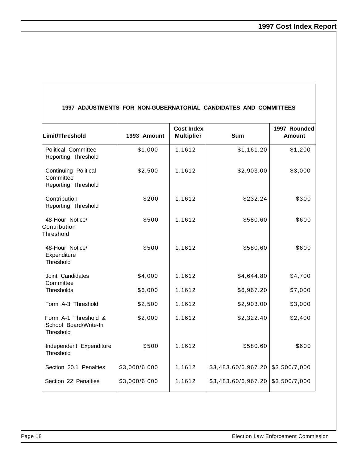#### **1997 ADJUSTMENTS FOR NON-GUBERNATORIAL CANDIDATES AND COMMITTEES**

| Limit/Threshold                                            | 1993 Amount   | <b>Cost Index</b><br><b>Multiplier</b> | <b>Sum</b>          | 1997 Rounded<br>Amount |
|------------------------------------------------------------|---------------|----------------------------------------|---------------------|------------------------|
| <b>Political Committee</b><br>Reporting Threshold          | \$1,000       | 1.1612                                 | \$1,161.20          | \$1,200                |
| Continuing Political<br>Committee<br>Reporting Threshold   | \$2,500       | 1.1612                                 | \$2,903.00          | \$3,000                |
| Contribution<br>Reporting Threshold                        | \$200         | 1.1612                                 | \$232.24            | \$300                  |
| 48-Hour Notice/<br>Contribution<br>Threshold               | \$500         | 1.1612                                 | \$580.60            | \$600                  |
| 48-Hour Notice/<br>Expenditure<br>Threshold                | \$500         | 1.1612                                 | \$580.60            | \$600                  |
| Joint Candidates<br>Committee                              | \$4,000       | 1.1612                                 | \$4,644.80          | \$4,700                |
| Thresholds                                                 | \$6,000       | 1.1612                                 | \$6,967.20          | \$7,000                |
| Form A-3 Threshold                                         | \$2,500       | 1.1612                                 | \$2,903.00          | \$3,000                |
| Form A-1 Threshold &<br>School Board/Write-In<br>Threshold | \$2,000       | 1.1612                                 | \$2,322.40          | \$2,400                |
| Independent Expenditure<br>Threshold                       | \$500         | 1.1612                                 | \$580.60            | \$600                  |
| Section 20.1 Penalties                                     | \$3,000/6,000 | 1.1612                                 | \$3,483.60/6,967.20 | \$3,500/7,000          |
| Section 22 Penalties                                       | \$3,000/6,000 | 1.1612                                 | \$3,483.60/6,967.20 | \$3,500/7,000          |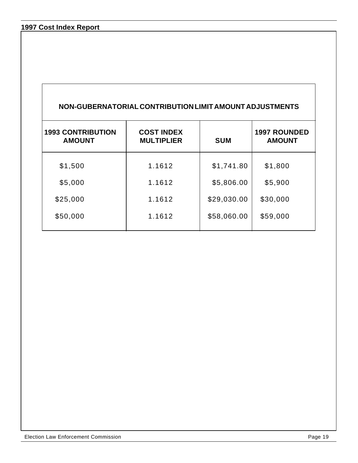#### **1997 Cost Index Report**

| NON-GUBERNATORIAL CONTRIBUTION LIMIT AMOUNT ADJUSTMENTS |                                        |             |                                      |  |  |
|---------------------------------------------------------|----------------------------------------|-------------|--------------------------------------|--|--|
| <b>1993 CONTRIBUTION</b><br><b>AMOUNT</b>               | <b>COST INDEX</b><br><b>MULTIPLIER</b> | <b>SUM</b>  | <b>1997 ROUNDED</b><br><b>AMOUNT</b> |  |  |
| \$1,500                                                 | 1.1612                                 | \$1,741.80  | \$1,800                              |  |  |
| \$5,000                                                 | 1.1612                                 | \$5,806.00  | \$5,900                              |  |  |
| \$25,000                                                | 1.1612                                 | \$29,030.00 | \$30,000                             |  |  |
| \$50,000                                                | 1.1612                                 | \$58,060.00 | \$59,000                             |  |  |
|                                                         |                                        |             |                                      |  |  |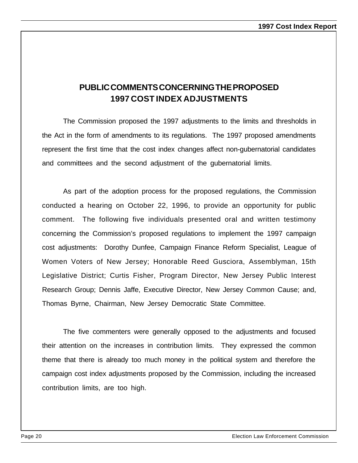### **PUBLIC COMMENTS CONCERNING THE PROPOSED 1997 COST INDEX ADJUSTMENTS**

The Commission proposed the 1997 adjustments to the limits and thresholds in the Act in the form of amendments to its regulations. The 1997 proposed amendments represent the first time that the cost index changes affect non-gubernatorial candidates and committees and the second adjustment of the gubernatorial limits.

As part of the adoption process for the proposed regulations, the Commission conducted a hearing on October 22, 1996, to provide an opportunity for public comment. The following five individuals presented oral and written testimony concerning the Commission's proposed regulations to implement the 1997 campaign cost adjustments: Dorothy Dunfee, Campaign Finance Reform Specialist, League of Women Voters of New Jersey; Honorable Reed Gusciora, Assemblyman, 15th Legislative District; Curtis Fisher, Program Director, New Jersey Public Interest Research Group; Dennis Jaffe, Executive Director, New Jersey Common Cause; and, Thomas Byrne, Chairman, New Jersey Democratic State Committee.

The five commenters were generally opposed to the adjustments and focused their attention on the increases in contribution limits. They expressed the common theme that there is already too much money in the political system and therefore the campaign cost index adjustments proposed by the Commission, including the increased contribution limits, are too high.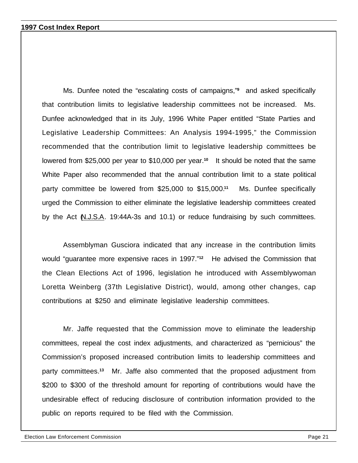Ms. Dunfee noted the "escalating costs of campaigns,"**<sup>9</sup>** and asked specifically that contribution limits to legislative leadership committees not be increased. Ms. Dunfee acknowledged that in its July, 1996 White Paper entitled "State Parties and Legislative Leadership Committees: An Analysis 1994-1995," the Commission recommended that the contribution limit to legislative leadership committees be lowered from \$25,000 per year to \$10,000 per year.**10** It should be noted that the same White Paper also recommended that the annual contribution limit to a state political party committee be lowered from \$25,000 to \$15,000.**11** Ms. Dunfee specifically urged the Commission to either eliminate the legislative leadership committees created by the Act (N.J.S.A. 19:44A-3s and 10.1) or reduce fundraising by such committees.

Assemblyman Gusciora indicated that any increase in the contribution limits would "guarantee more expensive races in 1997."**12** He advised the Commission that the Clean Elections Act of 1996, legislation he introduced with Assemblywoman Loretta Weinberg (37th Legislative District), would, among other changes, cap contributions at \$250 and eliminate legislative leadership committees.

Mr. Jaffe requested that the Commission move to eliminate the leadership committees, repeal the cost index adjustments, and characterized as "pernicious" the Commission's proposed increased contribution limits to leadership committees and party committees.**13** Mr. Jaffe also commented that the proposed adjustment from \$200 to \$300 of the threshold amount for reporting of contributions would have the undesirable effect of reducing disclosure of contribution information provided to the public on reports required to be filed with the Commission.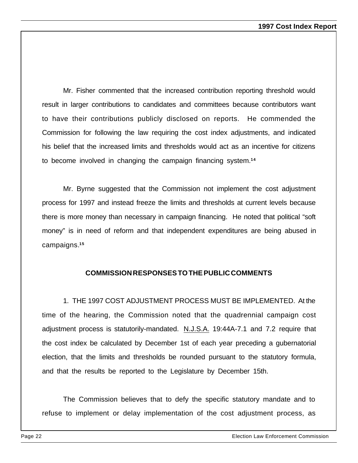Mr. Fisher commented that the increased contribution reporting threshold would result in larger contributions to candidates and committees because contributors want to have their contributions publicly disclosed on reports. He commended the Commission for following the law requiring the cost index adjustments, and indicated his belief that the increased limits and thresholds would act as an incentive for citizens to become involved in changing the campaign financing system.**<sup>14</sup>**

Mr. Byrne suggested that the Commission not implement the cost adjustment process for 1997 and instead freeze the limits and thresholds at current levels because there is more money than necessary in campaign financing. He noted that political "soft money" is in need of reform and that independent expenditures are being abused in campaigns.**<sup>15</sup>**

#### **COMMISSION RESPONSES TO THE PUBLIC COMMENTS**

1. THE 1997 COST ADJUSTMENT PROCESS MUST BE IMPLEMENTED. At the time of the hearing, the Commission noted that the quadrennial campaign cost adjustment process is statutorily-mandated. N.J.S.A. 19:44A-7.1 and 7.2 require that the cost index be calculated by December 1st of each year preceding a gubernatorial election, that the limits and thresholds be rounded pursuant to the statutory formula, and that the results be reported to the Legislature by December 15th.

The Commission believes that to defy the specific statutory mandate and to refuse to implement or delay implementation of the cost adjustment process, as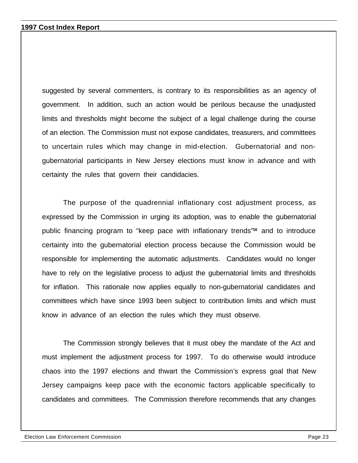suggested by several commenters, is contrary to its responsibilities as an agency of government. In addition, such an action would be perilous because the unadjusted limits and thresholds might become the subject of a legal challenge during the course of an election. The Commission must not expose candidates, treasurers, and committees to uncertain rules which may change in mid-election. Gubernatorial and nongubernatorial participants in New Jersey elections must know in advance and with certainty the rules that govern their candidacies.

The purpose of the quadrennial inflationary cost adjustment process, as expressed by the Commission in urging its adoption, was to enable the gubernatorial public financing program to "keep pace with inflationary trends"**16** and to introduce certainty into the gubernatorial election process because the Commission would be responsible for implementing the automatic adjustments. Candidates would no longer have to rely on the legislative process to adjust the gubernatorial limits and thresholds for inflation. This rationale now applies equally to non-gubernatorial candidates and committees which have since 1993 been subject to contribution limits and which must know in advance of an election the rules which they must observe.

The Commission strongly believes that it must obey the mandate of the Act and must implement the adjustment process for 1997. To do otherwise would introduce chaos into the 1997 elections and thwart the Commission's express goal that New Jersey campaigns keep pace with the economic factors applicable specifically to candidates and committees. The Commission therefore recommends that any changes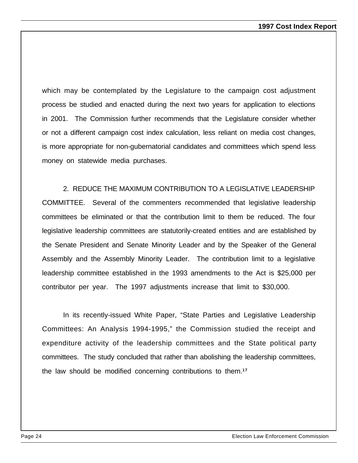which may be contemplated by the Legislature to the campaign cost adjustment process be studied and enacted during the next two years for application to elections in 2001. The Commission further recommends that the Legislature consider whether or not a different campaign cost index calculation, less reliant on media cost changes, is more appropriate for non-gubernatorial candidates and committees which spend less money on statewide media purchases.

2. REDUCE THE MAXIMUM CONTRIBUTION TO A LEGISLATIVE LEADERSHIP COMMITTEE. Several of the commenters recommended that legislative leadership committees be eliminated or that the contribution limit to them be reduced. The four legislative leadership committees are statutorily-created entities and are established by the Senate President and Senate Minority Leader and by the Speaker of the General Assembly and the Assembly Minority Leader. The contribution limit to a legislative leadership committee established in the 1993 amendments to the Act is \$25,000 per contributor per year. The 1997 adjustments increase that limit to \$30,000.

In its recently-issued White Paper, "State Parties and Legislative Leadership Committees: An Analysis 1994-1995," the Commission studied the receipt and expenditure activity of the leadership committees and the State political party committees. The study concluded that rather than abolishing the leadership committees, the law should be modified concerning contributions to them.**17**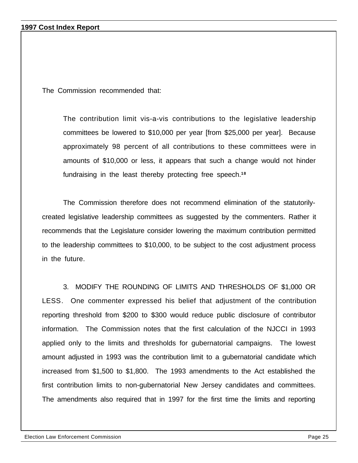#### **1997 Cost Index Report**

The Commission recommended that:

The contribution limit vis-a-vis contributions to the legislative leadership committees be lowered to \$10,000 per year [from \$25,000 per year]. Because approximately 98 percent of all contributions to these committees were in amounts of \$10,000 or less, it appears that such a change would not hinder fundraising in the least thereby protecting free speech.**<sup>18</sup>**

The Commission therefore does not recommend elimination of the statutorilycreated legislative leadership committees as suggested by the commenters. Rather it recommends that the Legislature consider lowering the maximum contribution permitted to the leadership committees to \$10,000, to be subject to the cost adjustment process in the future.

3. MODIFY THE ROUNDING OF LIMITS AND THRESHOLDS OF \$1,000 OR LESS. One commenter expressed his belief that adjustment of the contribution reporting threshold from \$200 to \$300 would reduce public disclosure of contributor information. The Commission notes that the first calculation of the NJCCI in 1993 applied only to the limits and thresholds for gubernatorial campaigns. The lowest amount adjusted in 1993 was the contribution limit to a gubernatorial candidate which increased from \$1,500 to \$1,800. The 1993 amendments to the Act established the first contribution limits to non-gubernatorial New Jersey candidates and committees. The amendments also required that in 1997 for the first time the limits and reporting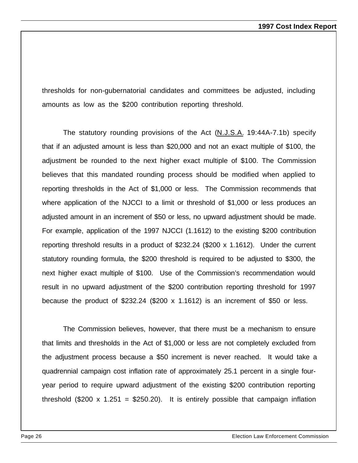thresholds for non-gubernatorial candidates and committees be adjusted, including amounts as low as the \$200 contribution reporting threshold.

The statutory rounding provisions of the Act (N.J.S.A. 19:44A-7.1b) specify that if an adjusted amount is less than \$20,000 and not an exact multiple of \$100, the adjustment be rounded to the next higher exact multiple of \$100. The Commission believes that this mandated rounding process should be modified when applied to reporting thresholds in the Act of \$1,000 or less. The Commission recommends that where application of the NJCCI to a limit or threshold of \$1,000 or less produces an adjusted amount in an increment of \$50 or less, no upward adjustment should be made. For example, application of the 1997 NJCCI (1.1612) to the existing \$200 contribution reporting threshold results in a product of \$232.24 (\$200 x 1.1612). Under the current statutory rounding formula, the \$200 threshold is required to be adjusted to \$300, the next higher exact multiple of \$100. Use of the Commission's recommendation would result in no upward adjustment of the \$200 contribution reporting threshold for 1997 because the product of \$232.24 (\$200 x 1.1612) is an increment of \$50 or less.

The Commission believes, however, that there must be a mechanism to ensure that limits and thresholds in the Act of \$1,000 or less are not completely excluded from the adjustment process because a \$50 increment is never reached. It would take a quadrennial campaign cost inflation rate of approximately 25.1 percent in a single fouryear period to require upward adjustment of the existing \$200 contribution reporting threshold (\$200 x 1.251 = \$250.20). It is entirely possible that campaign inflation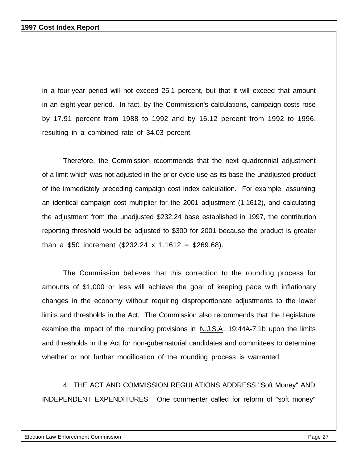in a four-year period will not exceed 25.1 percent, but that it will exceed that amount in an eight-year period. In fact, by the Commission's calculations, campaign costs rose by 17.91 percent from 1988 to 1992 and by 16.12 percent from 1992 to 1996, resulting in a combined rate of 34.03 percent.

Therefore, the Commission recommends that the next quadrennial adjustment of a limit which was not adjusted in the prior cycle use as its base the unadjusted product of the immediately preceding campaign cost index calculation. For example, assuming an identical campaign cost multiplier for the 2001 adjustment (1.1612), and calculating the adjustment from the unadjusted \$232.24 base established in 1997, the contribution reporting threshold would be adjusted to \$300 for 2001 because the product is greater than a \$50 increment  $(\$232.24 \times 1.1612 = \$269.68)$ .

The Commission believes that this correction to the rounding process for amounts of \$1,000 or less will achieve the goal of keeping pace with inflationary changes in the economy without requiring disproportionate adjustments to the lower limits and thresholds in the Act. The Commission also recommends that the Legislature examine the impact of the rounding provisions in N.J.S.A. 19:44A-7.1b upon the limits and thresholds in the Act for non-gubernatorial candidates and committees to determine whether or not further modification of the rounding process is warranted.

4. THE ACT AND COMMISSION REGULATIONS ADDRESS "Soft Money" AND INDEPENDENT EXPENDITURES. One commenter called for reform of "soft money"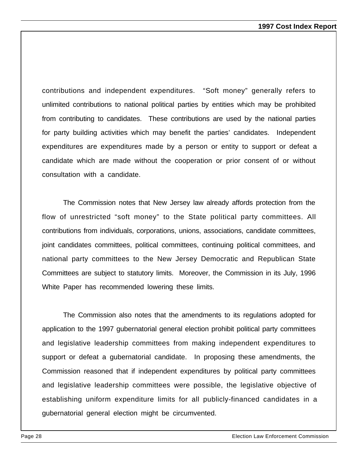contributions and independent expenditures. "Soft money" generally refers to unlimited contributions to national political parties by entities which may be prohibited from contributing to candidates. These contributions are used by the national parties for party building activities which may benefit the parties' candidates. Independent expenditures are expenditures made by a person or entity to support or defeat a candidate which are made without the cooperation or prior consent of or without consultation with a candidate.

The Commission notes that New Jersey law already affords protection from the flow of unrestricted "soft money" to the State political party committees. All contributions from individuals, corporations, unions, associations, candidate committees, joint candidates committees, political committees, continuing political committees, and national party committees to the New Jersey Democratic and Republican State Committees are subject to statutory limits. Moreover, the Commission in its July, 1996 White Paper has recommended lowering these limits.

The Commission also notes that the amendments to its regulations adopted for application to the 1997 gubernatorial general election prohibit political party committees and legislative leadership committees from making independent expenditures to support or defeat a gubernatorial candidate. In proposing these amendments, the Commission reasoned that if independent expenditures by political party committees and legislative leadership committees were possible, the legislative objective of establishing uniform expenditure limits for all publicly-financed candidates in a gubernatorial general election might be circumvented.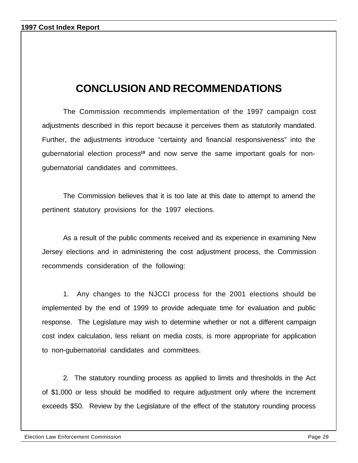## **CONCLUSION AND RECOMMENDATIONS**

The Commission recommends implementation of the 1997 campaign cost adjustments described in this report because it perceives them as statutorily mandated. Further, the adjustments introduce "certainty and financial responsiveness" into the gubernatorial election process**19** and now serve the same important goals for nongubernatorial candidates and committees.

The Commission believes that it is too late at this date to attempt to amend the pertinent statutory provisions for the 1997 elections.

As a result of the public comments received and its experience in examining New Jersey elections and in administering the cost adjustment process, the Commission recommends consideration of the following:

1. Any changes to the NJCCI process for the 2001 elections should be implemented by the end of 1999 to provide adequate time for evaluation and public response. The Legislature may wish to determine whether or not a different campaign cost index calculation, less reliant on media costs, is more appropriate for application to non-gubernatorial candidates and committees.

2. The statutory rounding process as applied to limits and thresholds in the Act of \$1,000 or less should be modified to require adjustment only where the increment exceeds \$50. Review by the Legislature of the effect of the statutory rounding process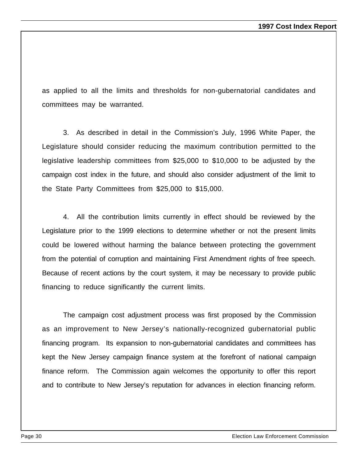as applied to all the limits and thresholds for non-gubernatorial candidates and committees may be warranted.

3. As described in detail in the Commission's July, 1996 White Paper, the Legislature should consider reducing the maximum contribution permitted to the legislative leadership committees from \$25,000 to \$10,000 to be adjusted by the campaign cost index in the future, and should also consider adjustment of the limit to the State Party Committees from \$25,000 to \$15,000.

4. All the contribution limits currently in effect should be reviewed by the Legislature prior to the 1999 elections to determine whether or not the present limits could be lowered without harming the balance between protecting the government from the potential of corruption and maintaining First Amendment rights of free speech. Because of recent actions by the court system, it may be necessary to provide public financing to reduce significantly the current limits.

The campaign cost adjustment process was first proposed by the Commission as an improvement to New Jersey's nationally-recognized gubernatorial public financing program. Its expansion to non-gubernatorial candidates and committees has kept the New Jersey campaign finance system at the forefront of national campaign finance reform. The Commission again welcomes the opportunity to offer this report and to contribute to New Jersey's reputation for advances in election financing reform.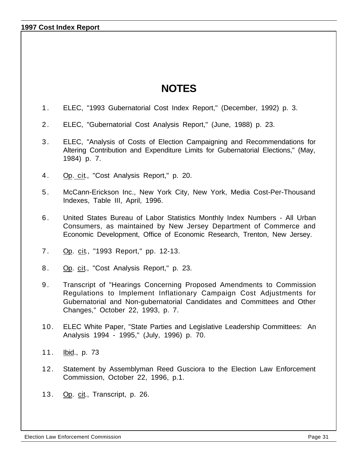**1997 Cost Index Report**

## **NOTES**

- 1 . ELEC, "1993 Gubernatorial Cost Index Report," (December, 1992) p. 3.
- 2 . ELEC, "Gubernatorial Cost Analysis Report," (June, 1988) p. 23.
- 3 . ELEC, "Analysis of Costs of Election Campaigning and Recommendations for Altering Contribution and Expenditure Limits for Gubernatorial Elections," (May, 1984) p. 7.
- 4 . Op. cit., "Cost Analysis Report," p. 20.
- 5 . McCann-Erickson Inc., New York City, New York, Media Cost-Per-Thousand Indexes, Table III, April, 1996.
- 6 . United States Bureau of Labor Statistics Monthly Index Numbers All Urban Consumers, as maintained by New Jersey Department of Commerce and Economic Development, Office of Economic Research, Trenton, New Jersey.
- 7 . Op. cit., "1993 Report," pp. 12-13.
- 8. Op. cit., "Cost Analysis Report," p. 23.
- 9 . Transcript of "Hearings Concerning Proposed Amendments to Commission Regulations to Implement Inflationary Campaign Cost Adjustments for Gubernatorial and Non-gubernatorial Candidates and Committees and Other Changes," October 22, 1993, p. 7.
- 10. ELEC White Paper, "State Parties and Legislative Leadership Committees: An Analysis 1994 - 1995," (July, 1996) p. 70.
- 11. Ibid., p. 73
- 12. Statement by Assemblyman Reed Gusciora to the Election Law Enforcement Commission, October 22, 1996, p.1.
- 13. Op. cit., Transcript, p. 26.